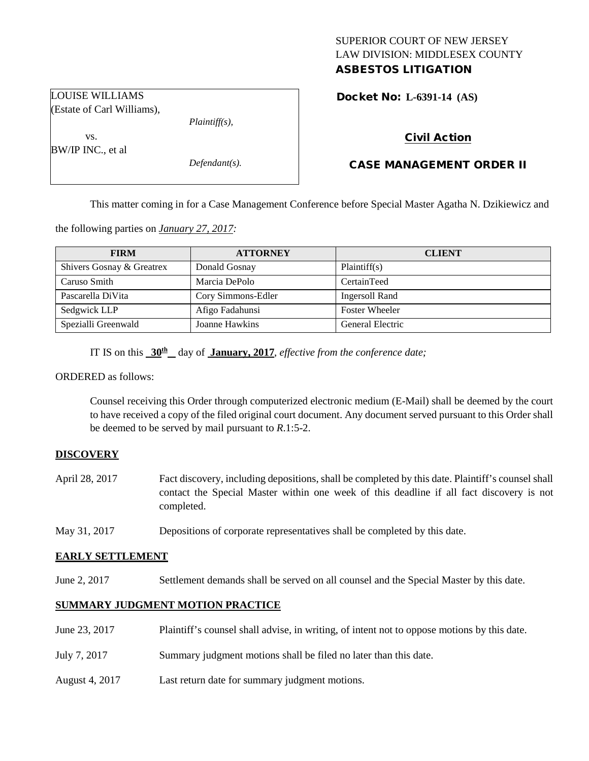# SUPERIOR COURT OF NEW JERSEY LAW DIVISION: MIDDLESEX COUNTY ASBESTOS LITIGATION

Docket No: **L-6391-14 (AS)** 

(Estate of Carl Williams),

*Plaintiff(s),*

*Defendant(s).*

# Civil Action

# CASE MANAGEMENT ORDER II

This matter coming in for a Case Management Conference before Special Master Agatha N. Dzikiewicz and

the following parties on *January 27, 2017:*

| <b>FIRM</b>               | <b>ATTORNEY</b>    | <b>CLIENT</b>         |
|---------------------------|--------------------|-----------------------|
| Shivers Gosnay & Greatrex | Donald Gosnay      | Plaintiff(s)          |
| Caruso Smith              | Marcia DePolo      | CertainTeed           |
| Pascarella DiVita         | Cory Simmons-Edler | Ingersoll Rand        |
| Sedgwick LLP              | Afigo Fadahunsi    | <b>Foster Wheeler</b> |
| Spezialli Greenwald       | Joanne Hawkins     | General Electric      |

IT IS on this **30th** day of **January, 2017**, *effective from the conference date;*

ORDERED as follows:

Counsel receiving this Order through computerized electronic medium (E-Mail) shall be deemed by the court to have received a copy of the filed original court document. Any document served pursuant to this Order shall be deemed to be served by mail pursuant to *R*.1:5-2.

# **DISCOVERY**

- April 28, 2017 Fact discovery, including depositions, shall be completed by this date. Plaintiff's counsel shall contact the Special Master within one week of this deadline if all fact discovery is not completed.
- May 31, 2017 Depositions of corporate representatives shall be completed by this date.

# **EARLY SETTLEMENT**

June 2, 2017 Settlement demands shall be served on all counsel and the Special Master by this date.

# **SUMMARY JUDGMENT MOTION PRACTICE**

- June 23, 2017 Plaintiff's counsel shall advise, in writing, of intent not to oppose motions by this date.
- July 7, 2017 Summary judgment motions shall be filed no later than this date.
- August 4, 2017 Last return date for summary judgment motions.

LOUISE WILLIAMS

BW/IP INC., et al

vs.